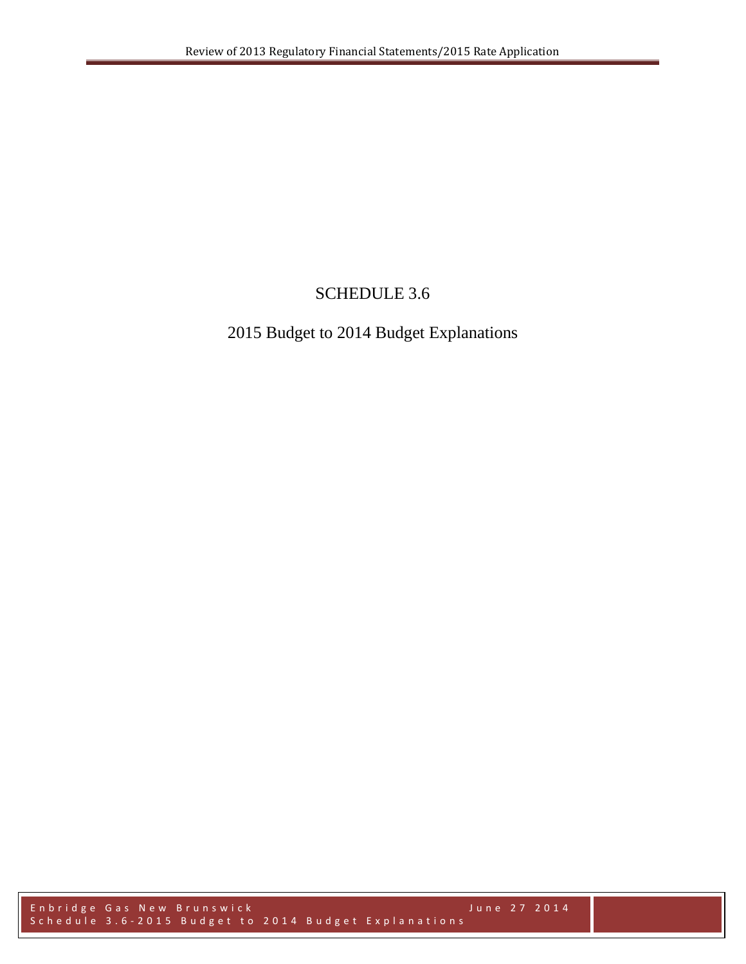# SCHEDULE 3.6

# 2015 Budget to 2014 Budget Explanations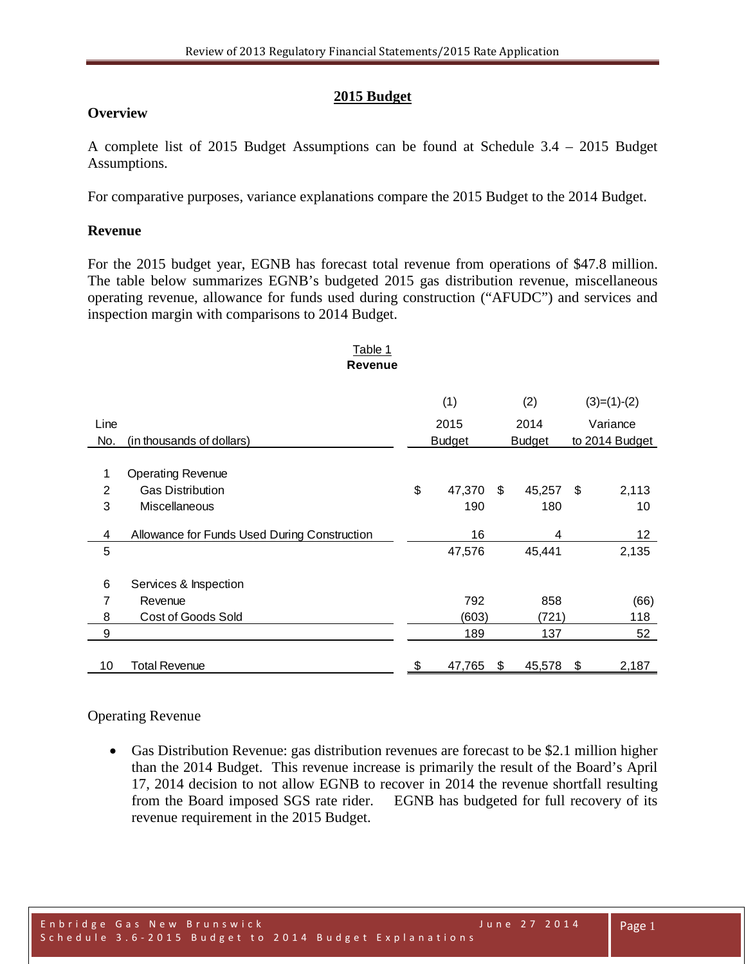# **2015 Budget**

# **Overview**

A complete list of 2015 Budget Assumptions can be found at Schedule 3.4 – 2015 Budget Assumptions.

For comparative purposes, variance explanations compare the 2015 Budget to the 2014 Budget.

# **Revenue**

For the 2015 budget year, EGNB has forecast total revenue from operations of \$47.8 million. The table below summarizes EGNB's budgeted 2015 gas distribution revenue, miscellaneous operating revenue, allowance for funds used during construction ("AFUDC") and services and inspection margin with comparisons to 2014 Budget.

#### Table 1 **Revenue**

|                |                                              | (1) |               |    | (2)           |          | $(3)=(1)-(2)$   |  |
|----------------|----------------------------------------------|-----|---------------|----|---------------|----------|-----------------|--|
| Line           |                                              |     | 2015          |    | 2014          | Variance |                 |  |
| No.            | (in thousands of dollars)                    |     | <b>Budget</b> |    | <b>Budget</b> |          | to 2014 Budget  |  |
|                |                                              |     |               |    |               |          |                 |  |
| 1              | <b>Operating Revenue</b>                     |     |               |    |               |          |                 |  |
| $\overline{2}$ | <b>Gas Distribution</b>                      | \$  | 47,370        | \$ | 45,257        | - \$     | 2,113           |  |
| 3              | <b>Miscellaneous</b>                         |     | 190           |    | 180           |          | 10              |  |
|                |                                              |     |               |    |               |          |                 |  |
| 4              | Allowance for Funds Used During Construction |     | 16            |    | 4             |          | 12 <sup>2</sup> |  |
| 5              |                                              |     | 47,576        |    | 45,441        |          | 2,135           |  |
|                |                                              |     |               |    |               |          |                 |  |
| 6              | Services & Inspection                        |     |               |    |               |          |                 |  |
| 7              | Revenue                                      |     | 792           |    | 858           |          | (66)            |  |
| 8              | Cost of Goods Sold                           |     | (603)         |    | (721)         |          | 118             |  |
| 9              |                                              |     | 189           |    | 137           |          | 52              |  |
|                |                                              |     |               |    |               |          |                 |  |
| 10             | Total Revenue                                | \$  | 47,765        | \$ | 45,578        | \$       | 2,187           |  |

# Operating Revenue

• Gas Distribution Revenue: gas distribution revenues are forecast to be \$2.1 million higher than the 2014 Budget. This revenue increase is primarily the result of the Board's April 17, 2014 decision to not allow EGNB to recover in 2014 the revenue shortfall resulting from the Board imposed SGS rate rider. EGNB has budgeted for full recovery of its revenue requirement in the 2015 Budget.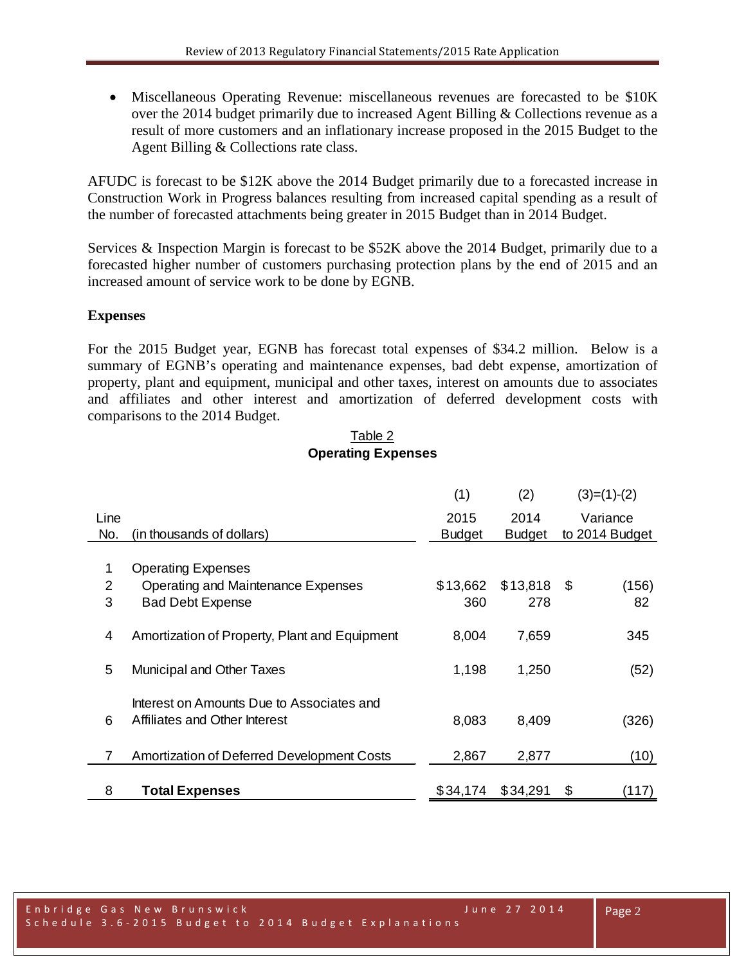• Miscellaneous Operating Revenue: miscellaneous revenues are forecasted to be \$10K over the 2014 budget primarily due to increased Agent Billing & Collections revenue as a result of more customers and an inflationary increase proposed in the 2015 Budget to the Agent Billing & Collections rate class.

AFUDC is forecast to be \$12K above the 2014 Budget primarily due to a forecasted increase in Construction Work in Progress balances resulting from increased capital spending as a result of the number of forecasted attachments being greater in 2015 Budget than in 2014 Budget.

Services & Inspection Margin is forecast to be \$52K above the 2014 Budget, primarily due to a forecasted higher number of customers purchasing protection plans by the end of 2015 and an increased amount of service work to be done by EGNB.

# **Expenses**

For the 2015 Budget year, EGNB has forecast total expenses of \$34.2 million. Below is a summary of EGNB's operating and maintenance expenses, bad debt expense, amortization of property, plant and equipment, municipal and other taxes, interest on amounts due to associates and affiliates and other interest and amortization of deferred development costs with comparisons to the 2014 Budget.

# Table 2 **Operating Expenses**

|             |                                                                            | (1)                   | (2)                   |     | $(3)=(1)-(2)$              |
|-------------|----------------------------------------------------------------------------|-----------------------|-----------------------|-----|----------------------------|
| Line<br>No. | (in thousands of dollars)                                                  | 2015<br><b>Budget</b> | 2014<br><b>Budget</b> |     | Variance<br>to 2014 Budget |
|             |                                                                            |                       |                       |     |                            |
| 1           | <b>Operating Expenses</b>                                                  |                       |                       |     |                            |
| 2           | Operating and Maintenance Expenses                                         | \$13,662              | \$13,818              | -\$ | (156)                      |
| 3           | <b>Bad Debt Expense</b>                                                    | 360                   | 278                   |     | 82                         |
| 4           | Amortization of Property, Plant and Equipment                              | 8,004                 | 7,659                 |     | 345                        |
| 5           | <b>Municipal and Other Taxes</b>                                           | 1,198                 | 1,250                 |     | (52)                       |
| 6           | Interest on Amounts Due to Associates and<br>Affiliates and Other Interest | 8,083                 | 8,409                 |     | (326)                      |
| 7           | <b>Amortization of Deferred Development Costs</b>                          | 2,867                 | 2,877                 |     | (10)                       |
| 8           | <b>Total Expenses</b>                                                      | \$34,174              | \$34,291              | \$  | (117)                      |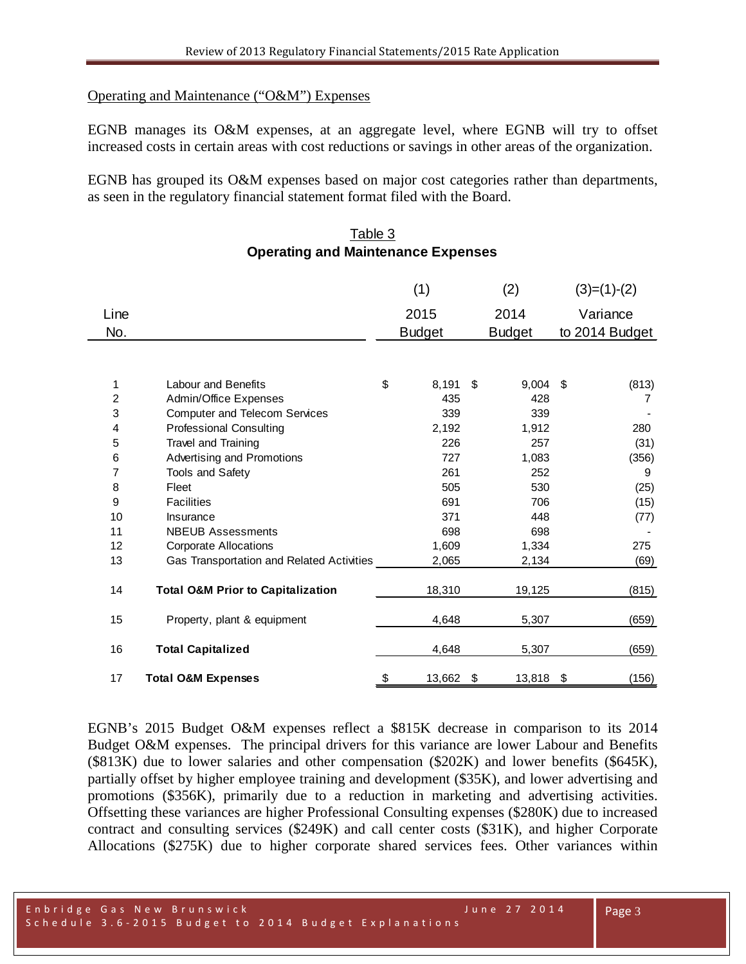#### Operating and Maintenance ("O&M") Expenses

EGNB manages its O&M expenses, at an aggregate level, where EGNB will try to offset increased costs in certain areas with cost reductions or savings in other areas of the organization.

EGNB has grouped its O&M expenses based on major cost categories rather than departments, as seen in the regulatory financial statement format filed with the Board.

### Table 3 **Operating and Maintenance Expenses**

|                |                                              | (1)           | (2)              | $(3)=(1)-(2)$  |
|----------------|----------------------------------------------|---------------|------------------|----------------|
| Line           |                                              | 2015          | 2014             | Variance       |
| No.            |                                              | <b>Budget</b> | <b>Budget</b>    | to 2014 Budget |
|                |                                              |               |                  |                |
|                |                                              |               |                  |                |
| 1              | <b>Labour and Benefits</b>                   | \$<br>8,191   | \$<br>$9,004$ \$ | (813)          |
| $\overline{c}$ | Admin/Office Expenses                        | 435           | 428              | 7              |
| 3              | <b>Computer and Telecom Services</b>         | 339           | 339              |                |
| 4              | <b>Professional Consulting</b>               | 2,192         | 1,912            | 280            |
| 5              | Travel and Training                          | 226           | 257              | (31)           |
| 6              | Advertising and Promotions                   | 727           | 1,083            | (356)          |
| 7              | Tools and Safety                             | 261           | 252              | 9              |
| 8              | Fleet                                        | 505           | 530              | (25)           |
| 9              | <b>Facilities</b>                            | 691           | 706              | (15)           |
| 10             | Insurance                                    | 371           | 448              | (77)           |
| 11             | <b>NBEUB Assessments</b>                     | 698           | 698              |                |
| 12             | <b>Corporate Allocations</b>                 | 1,609         | 1,334            | 275            |
| 13             | Gas Transportation and Related Activities    | 2,065         | 2,134            | (69)           |
|                |                                              |               |                  |                |
| 14             | <b>Total O&amp;M Prior to Capitalization</b> | 18,310        | 19,125           | (815)          |
| 15             | Property, plant & equipment                  | 4,648         | 5,307            | (659)          |
| 16             | <b>Total Capitalized</b>                     | 4,648         | 5,307            | (659)          |
| 17             | <b>Total O&amp;M Expenses</b>                | \$<br>13,662  | \$<br>13,818 \$  | (156)          |

EGNB's 2015 Budget O&M expenses reflect a \$815K decrease in comparison to its 2014 Budget O&M expenses. The principal drivers for this variance are lower Labour and Benefits (\$813K) due to lower salaries and other compensation (\$202K) and lower benefits (\$645K), partially offset by higher employee training and development (\$35K), and lower advertising and promotions (\$356K), primarily due to a reduction in marketing and advertising activities. Offsetting these variances are higher Professional Consulting expenses (\$280K) due to increased contract and consulting services (\$249K) and call center costs (\$31K), and higher Corporate Allocations (\$275K) due to higher corporate shared services fees. Other variances within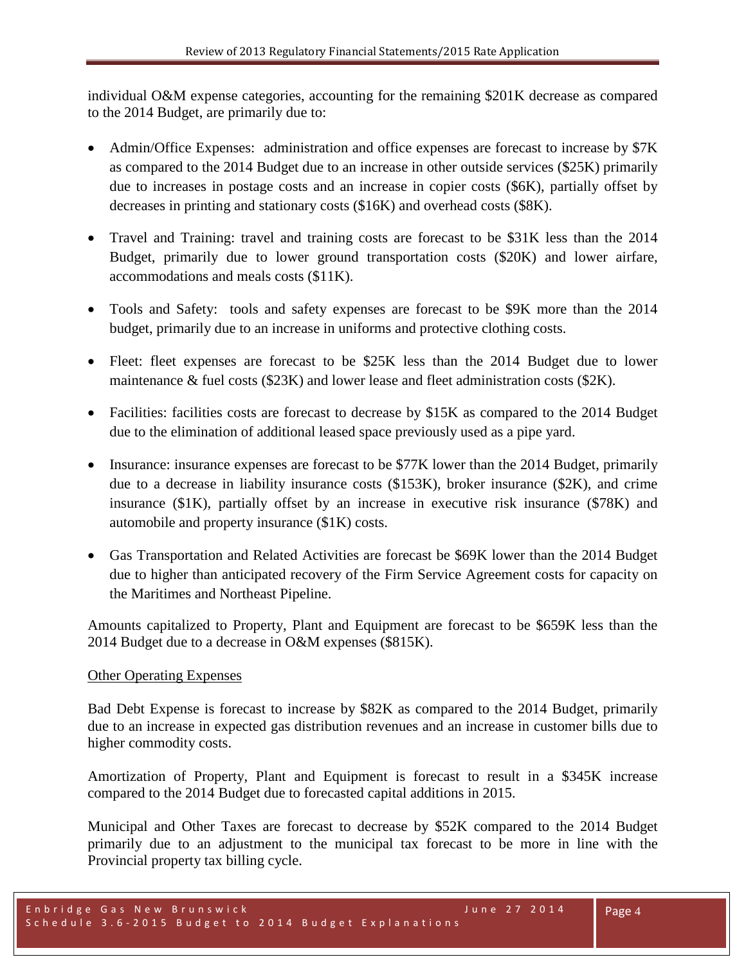individual O&M expense categories, accounting for the remaining \$201K decrease as compared to the 2014 Budget, are primarily due to:

- Admin/Office Expenses: administration and office expenses are forecast to increase by \$7K as compared to the 2014 Budget due to an increase in other outside services (\$25K) primarily due to increases in postage costs and an increase in copier costs (\$6K), partially offset by decreases in printing and stationary costs (\$16K) and overhead costs (\$8K).
- Travel and Training: travel and training costs are forecast to be \$31K less than the 2014 Budget, primarily due to lower ground transportation costs (\$20K) and lower airfare, accommodations and meals costs (\$11K).
- Tools and Safety: tools and safety expenses are forecast to be \$9K more than the 2014 budget, primarily due to an increase in uniforms and protective clothing costs.
- Fleet: fleet expenses are forecast to be \$25K less than the 2014 Budget due to lower maintenance & fuel costs (\$23K) and lower lease and fleet administration costs (\$2K).
- Facilities: facilities costs are forecast to decrease by \$15K as compared to the 2014 Budget due to the elimination of additional leased space previously used as a pipe yard.
- Insurance: insurance expenses are forecast to be \$77K lower than the 2014 Budget, primarily due to a decrease in liability insurance costs (\$153K), broker insurance (\$2K), and crime insurance (\$1K), partially offset by an increase in executive risk insurance (\$78K) and automobile and property insurance (\$1K) costs.
- Gas Transportation and Related Activities are forecast be \$69K lower than the 2014 Budget due to higher than anticipated recovery of the Firm Service Agreement costs for capacity on the Maritimes and Northeast Pipeline.

Amounts capitalized to Property, Plant and Equipment are forecast to be \$659K less than the 2014 Budget due to a decrease in O&M expenses (\$815K).

# Other Operating Expenses

Bad Debt Expense is forecast to increase by \$82K as compared to the 2014 Budget, primarily due to an increase in expected gas distribution revenues and an increase in customer bills due to higher commodity costs.

Amortization of Property, Plant and Equipment is forecast to result in a \$345K increase compared to the 2014 Budget due to forecasted capital additions in 2015.

Municipal and Other Taxes are forecast to decrease by \$52K compared to the 2014 Budget primarily due to an adjustment to the municipal tax forecast to be more in line with the Provincial property tax billing cycle.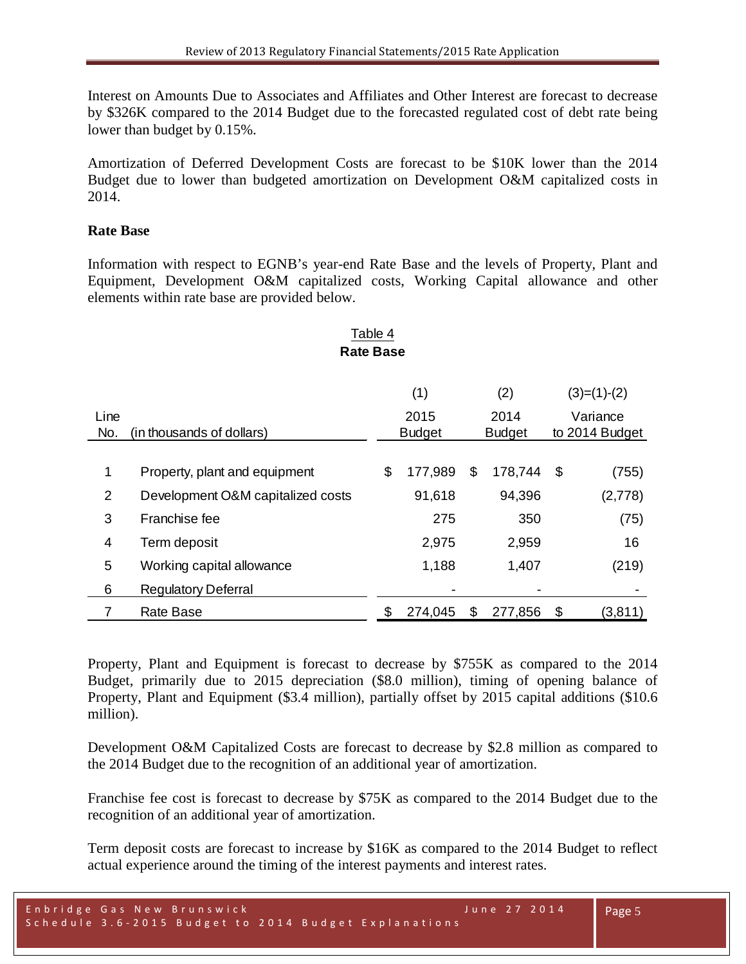Interest on Amounts Due to Associates and Affiliates and Other Interest are forecast to decrease by \$326K compared to the 2014 Budget due to the forecasted regulated cost of debt rate being lower than budget by 0.15%.

Amortization of Deferred Development Costs are forecast to be \$10K lower than the 2014 Budget due to lower than budgeted amortization on Development O&M capitalized costs in 2014.

# **Rate Base**

Information with respect to EGNB's year-end Rate Base and the levels of Property, Plant and Equipment, Development O&M capitalized costs, Working Capital allowance and other elements within rate base are provided below.

# (1)  $(2)$   $(3)=(1)-(2)$ Line 2015 2014 Variance No. (in thousands of dollars) Budget Budget to 2014 Budget 1 Property, plant and equipment \$ 177,989 \$ 178,744 \$ (755) 2 Development O&M capitalized costs 91,618 94,396 (2,778) 3 Franchise fee 275 350 (75) 4 Term deposit 2,975 2,959 16 5 Working capital allowance 1,188 1,407 (219) 6 Regulatory Deferral 7 Rate Base \$ 274,045 \$ 277,856 \$ (3,811) Table 4 **Rate Base**

Property, Plant and Equipment is forecast to decrease by \$755K as compared to the 2014 Budget, primarily due to 2015 depreciation (\$8.0 million), timing of opening balance of Property, Plant and Equipment (\$3.4 million), partially offset by 2015 capital additions (\$10.6 million).

Development O&M Capitalized Costs are forecast to decrease by \$2.8 million as compared to the 2014 Budget due to the recognition of an additional year of amortization.

Franchise fee cost is forecast to decrease by \$75K as compared to the 2014 Budget due to the recognition of an additional year of amortization.

Term deposit costs are forecast to increase by \$16K as compared to the 2014 Budget to reflect actual experience around the timing of the interest payments and interest rates.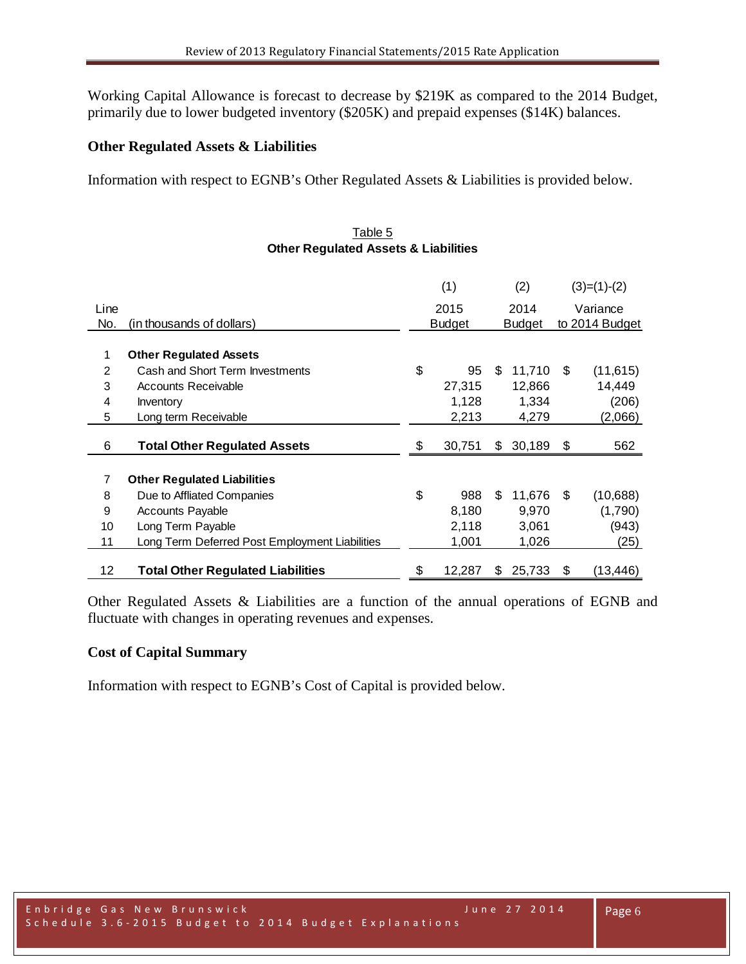Working Capital Allowance is forecast to decrease by \$219K as compared to the 2014 Budget, primarily due to lower budgeted inventory (\$205K) and prepaid expenses (\$14K) balances.

#### **Other Regulated Assets & Liabilities**

Information with respect to EGNB's Other Regulated Assets & Liabilities is provided below.

#### Table 5 **Other Regulated Assets & Liabilities**

|      |                                                | (1)           |        |               | (2)    | $(3)=(1)-(2)$  |           |
|------|------------------------------------------------|---------------|--------|---------------|--------|----------------|-----------|
| Line |                                                | 2015          |        |               | 2014   | Variance       |           |
| No.  | (in thousands of dollars)                      | <b>Budget</b> |        | <b>Budget</b> |        | to 2014 Budget |           |
|      |                                                |               |        |               |        |                |           |
| 1    | <b>Other Regulated Assets</b>                  |               |        |               |        |                |           |
| 2    | Cash and Short Term Investments                | \$            | 95     | S             | 11,710 | \$             | (11, 615) |
| 3    | <b>Accounts Receivable</b>                     |               | 27,315 |               | 12,866 |                | 14,449    |
| 4    | Inventory                                      |               | 1,128  |               | 1,334  |                | (206)     |
| 5    | Long term Receivable                           |               | 2,213  |               | 4,279  |                | (2,066)   |
|      |                                                |               |        |               |        |                |           |
| 6    | <b>Total Other Regulated Assets</b>            | \$            | 30,751 | \$            | 30,189 | -\$            | 562       |
| 7    | <b>Other Regulated Liabilities</b>             |               |        |               |        |                |           |
| 8    | Due to Affliated Companies                     | \$            | 988    | \$.           | 11,676 | \$             | (10,688)  |
| 9    | <b>Accounts Payable</b>                        |               | 8,180  |               | 9,970  |                | (1,790)   |
| 10   | Long Term Payable                              |               | 2,118  |               | 3,061  |                | (943)     |
| 11   | Long Term Deferred Post Employment Liabilities |               | 1,001  |               | 1,026  |                | (25)      |
| 12   | <b>Total Other Regulated Liabilities</b>       | \$            | 12,287 | S             | 25,733 | \$             | (13, 446) |

Other Regulated Assets & Liabilities are a function of the annual operations of EGNB and fluctuate with changes in operating revenues and expenses.

# **Cost of Capital Summary**

Information with respect to EGNB's Cost of Capital is provided below.